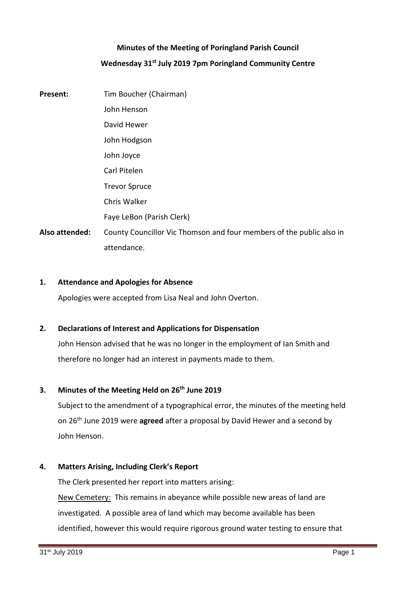# **Minutes of the Meeting of Poringland Parish Council Wednesday 31st July 2019 7pm Poringland Community Centre**

**Present:** Tim Boucher (Chairman) John Henson David Hewer John Hodgson John Joyce Carl Pitelen Trevor Spruce Chris Walker Faye LeBon (Parish Clerk) **Also attended:** County Councillor Vic Thomson and four members of the public also in attendance.

### **1. Attendance and Apologies for Absence**

Apologies were accepted from Lisa Neal and John Overton.

# **2. Declarations of Interest and Applications for Dispensation**

John Henson advised that he was no longer in the employment of Ian Smith and therefore no longer had an interest in payments made to them.

# **3. Minutes of the Meeting Held on 26th June 2019**

Subject to the amendment of a typographical error, the minutes of the meeting held on 26th June 2019 were **agreed** after a proposal by David Hewer and a second by John Henson.

# **4. Matters Arising, Including Clerk's Report**

The Clerk presented her report into matters arising: New Cemetery: This remains in abeyance while possible new areas of land are investigated. A possible area of land which may become available has been identified, however this would require rigorous ground water testing to ensure that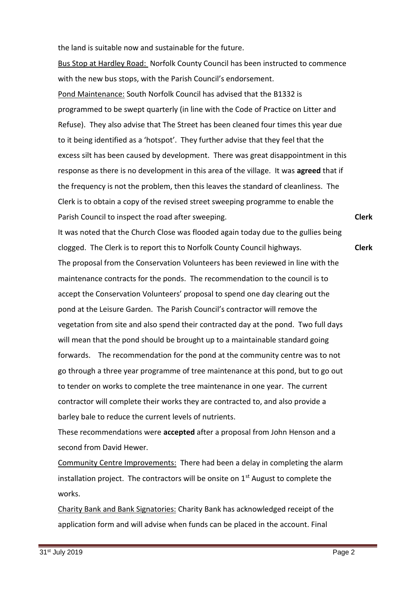the land is suitable now and sustainable for the future.

Bus Stop at Hardley Road: Norfolk County Council has been instructed to commence with the new bus stops, with the Parish Council's endorsement.

Pond Maintenance: South Norfolk Council has advised that the B1332 is programmed to be swept quarterly (in line with the Code of Practice on Litter and Refuse). They also advise that The Street has been cleaned four times this year due to it being identified as a 'hotspot'. They further advise that they feel that the excess silt has been caused by development. There was great disappointment in this response as there is no development in this area of the village. It was **agreed** that if the frequency is not the problem, then this leaves the standard of cleanliness. The Clerk is to obtain a copy of the revised street sweeping programme to enable the Parish Council to inspect the road after sweeping.

**Clerk**

It was noted that the Church Close was flooded again today due to the gullies being clogged. The Clerk is to report this to Norfolk County Council highways. The proposal from the Conservation Volunteers has been reviewed in line with the maintenance contracts for the ponds. The recommendation to the council is to accept the Conservation Volunteers' proposal to spend one day clearing out the pond at the Leisure Garden. The Parish Council's contractor will remove the vegetation from site and also spend their contracted day at the pond. Two full days will mean that the pond should be brought up to a maintainable standard going forwards. The recommendation for the pond at the community centre was to not go through a three year programme of tree maintenance at this pond, but to go out to tender on works to complete the tree maintenance in one year. The current contractor will complete their works they are contracted to, and also provide a barley bale to reduce the current levels of nutrients. **Clerk**

These recommendations were **accepted** after a proposal from John Henson and a second from David Hewer.

Community Centre Improvements: There had been a delay in completing the alarm installation project. The contractors will be onsite on  $1<sup>st</sup>$  August to complete the works.

Charity Bank and Bank Signatories: Charity Bank has acknowledged receipt of the application form and will advise when funds can be placed in the account. Final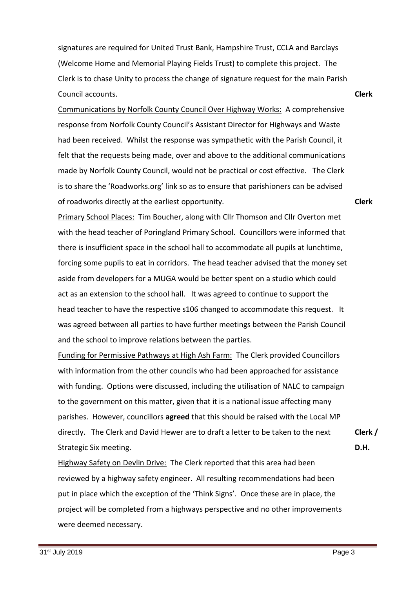signatures are required for United Trust Bank, Hampshire Trust, CCLA and Barclays (Welcome Home and Memorial Playing Fields Trust) to complete this project. The Clerk is to chase Unity to process the change of signature request for the main Parish Council accounts.

Communications by Norfolk County Council Over Highway Works: A comprehensive response from Norfolk County Council's Assistant Director for Highways and Waste had been received. Whilst the response was sympathetic with the Parish Council, it felt that the requests being made, over and above to the additional communications made by Norfolk County Council, would not be practical or cost effective. The Clerk is to share the 'Roadworks.org' link so as to ensure that parishioners can be advised of roadworks directly at the earliest opportunity.

**Clerk**

**Clerk**

Primary School Places: Tim Boucher, along with Cllr Thomson and Cllr Overton met with the head teacher of Poringland Primary School. Councillors were informed that there is insufficient space in the school hall to accommodate all pupils at lunchtime, forcing some pupils to eat in corridors. The head teacher advised that the money set aside from developers for a MUGA would be better spent on a studio which could act as an extension to the school hall. It was agreed to continue to support the head teacher to have the respective s106 changed to accommodate this request. It was agreed between all parties to have further meetings between the Parish Council and the school to improve relations between the parties.

Funding for Permissive Pathways at High Ash Farm: The Clerk provided Councillors with information from the other councils who had been approached for assistance with funding. Options were discussed, including the utilisation of NALC to campaign to the government on this matter, given that it is a national issue affecting many parishes. However, councillors **agreed** that this should be raised with the Local MP directly. The Clerk and David Hewer are to draft a letter to be taken to the next Strategic Six meeting.

Highway Safety on Devlin Drive: The Clerk reported that this area had been reviewed by a highway safety engineer. All resulting recommendations had been put in place which the exception of the 'Think Signs'. Once these are in place, the project will be completed from a highways perspective and no other improvements were deemed necessary.

**Clerk /** 

**D.H.**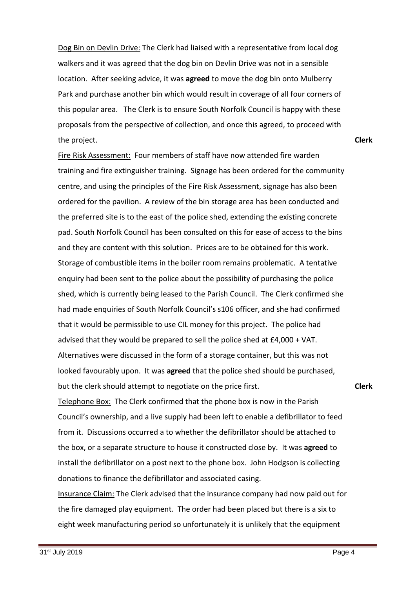Dog Bin on Devlin Drive: The Clerk had liaised with a representative from local dog walkers and it was agreed that the dog bin on Devlin Drive was not in a sensible location. After seeking advice, it was **agreed** to move the dog bin onto Mulberry Park and purchase another bin which would result in coverage of all four corners of this popular area. The Clerk is to ensure South Norfolk Council is happy with these proposals from the perspective of collection, and once this agreed, to proceed with the project.

**Clerk**

Fire Risk Assessment: Four members of staff have now attended fire warden training and fire extinguisher training. Signage has been ordered for the community centre, and using the principles of the Fire Risk Assessment, signage has also been ordered for the pavilion. A review of the bin storage area has been conducted and the preferred site is to the east of the police shed, extending the existing concrete pad. South Norfolk Council has been consulted on this for ease of access to the bins and they are content with this solution. Prices are to be obtained for this work. Storage of combustible items in the boiler room remains problematic. A tentative enquiry had been sent to the police about the possibility of purchasing the police shed, which is currently being leased to the Parish Council. The Clerk confirmed she had made enquiries of South Norfolk Council's s106 officer, and she had confirmed that it would be permissible to use CIL money for this project. The police had advised that they would be prepared to sell the police shed at £4,000 + VAT. Alternatives were discussed in the form of a storage container, but this was not looked favourably upon. It was **agreed** that the police shed should be purchased, but the clerk should attempt to negotiate on the price first.

#### **Clerk**

Telephone Box: The Clerk confirmed that the phone box is now in the Parish Council's ownership, and a live supply had been left to enable a defibrillator to feed from it. Discussions occurred a to whether the defibrillator should be attached to the box, or a separate structure to house it constructed close by. It was **agreed** to install the defibrillator on a post next to the phone box. John Hodgson is collecting donations to finance the defibrillator and associated casing.

Insurance Claim: The Clerk advised that the insurance company had now paid out for the fire damaged play equipment. The order had been placed but there is a six to eight week manufacturing period so unfortunately it is unlikely that the equipment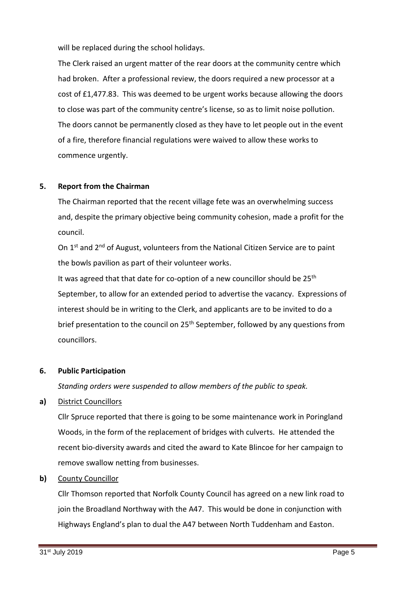will be replaced during the school holidays.

The Clerk raised an urgent matter of the rear doors at the community centre which had broken. After a professional review, the doors required a new processor at a cost of £1,477.83. This was deemed to be urgent works because allowing the doors to close was part of the community centre's license, so as to limit noise pollution. The doors cannot be permanently closed as they have to let people out in the event of a fire, therefore financial regulations were waived to allow these works to commence urgently.

# **5. Report from the Chairman**

The Chairman reported that the recent village fete was an overwhelming success and, despite the primary objective being community cohesion, made a profit for the council.

On  $1<sup>st</sup>$  and  $2<sup>nd</sup>$  of August, volunteers from the National Citizen Service are to paint the bowls pavilion as part of their volunteer works.

It was agreed that that date for co-option of a new councillor should be  $25<sup>th</sup>$ September, to allow for an extended period to advertise the vacancy. Expressions of interest should be in writing to the Clerk, and applicants are to be invited to do a brief presentation to the council on  $25<sup>th</sup>$  September, followed by any questions from councillors.

# **6. Public Participation**

*Standing orders were suspended to allow members of the public to speak.*

# **a)** District Councillors

Cllr Spruce reported that there is going to be some maintenance work in Poringland Woods, in the form of the replacement of bridges with culverts. He attended the recent bio-diversity awards and cited the award to Kate Blincoe for her campaign to remove swallow netting from businesses.

# **b)** County Councillor

Cllr Thomson reported that Norfolk County Council has agreed on a new link road to join the Broadland Northway with the A47. This would be done in conjunction with Highways England's plan to dual the A47 between North Tuddenham and Easton.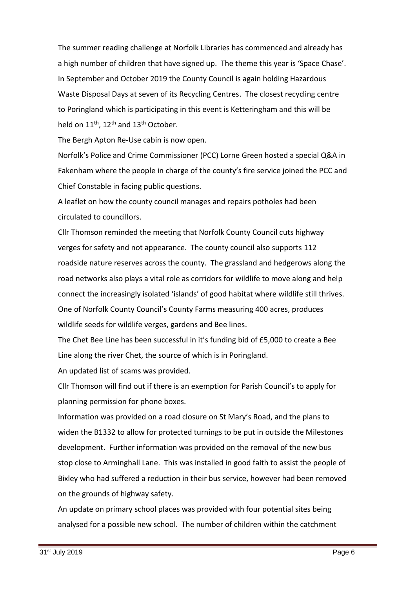The summer reading challenge at Norfolk Libraries has commenced and already has a high number of children that have signed up. The theme this year is 'Space Chase'. In September and October 2019 the County Council is again holding Hazardous Waste Disposal Days at seven of its Recycling Centres. The closest recycling centre to Poringland which is participating in this event is Ketteringham and this will be held on  $11^{th}$ ,  $12^{th}$  and  $13^{th}$  October.

The Bergh Apton Re-Use cabin is now open.

Norfolk's Police and Crime Commissioner (PCC) Lorne Green hosted a special Q&A in Fakenham where the people in charge of the county's fire service joined the PCC and Chief Constable in facing public questions.

A leaflet on how the county council manages and repairs potholes had been circulated to councillors.

Cllr Thomson reminded the meeting that Norfolk County Council cuts highway verges for safety and not appearance. The county council also supports 112 roadside nature reserves across the county. The grassland and hedgerows along the road networks also plays a vital role as corridors for wildlife to move along and help connect the increasingly isolated 'islands' of good habitat where wildlife still thrives. One of Norfolk County Council's County Farms measuring 400 acres, produces wildlife seeds for wildlife verges, gardens and Bee lines.

The Chet Bee Line has been successful in it's funding bid of £5,000 to create a Bee Line along the river Chet, the source of which is in Poringland.

An updated list of scams was provided.

Cllr Thomson will find out if there is an exemption for Parish Council's to apply for planning permission for phone boxes.

Information was provided on a road closure on St Mary's Road, and the plans to widen the B1332 to allow for protected turnings to be put in outside the Milestones development. Further information was provided on the removal of the new bus stop close to Arminghall Lane. This was installed in good faith to assist the people of Bixley who had suffered a reduction in their bus service, however had been removed on the grounds of highway safety.

An update on primary school places was provided with four potential sites being analysed for a possible new school. The number of children within the catchment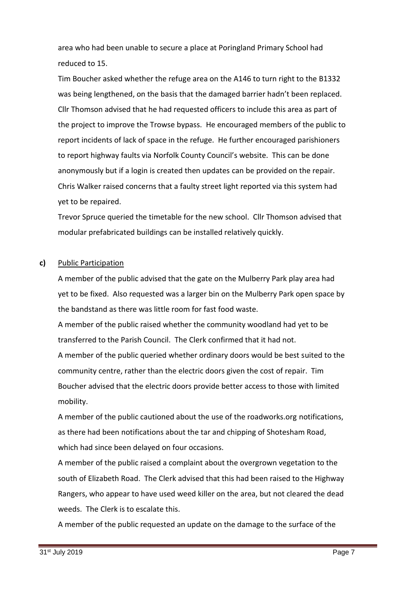area who had been unable to secure a place at Poringland Primary School had reduced to 15.

Tim Boucher asked whether the refuge area on the A146 to turn right to the B1332 was being lengthened, on the basis that the damaged barrier hadn't been replaced. Cllr Thomson advised that he had requested officers to include this area as part of the project to improve the Trowse bypass. He encouraged members of the public to report incidents of lack of space in the refuge. He further encouraged parishioners to report highway faults via Norfolk County Council's website. This can be done anonymously but if a login is created then updates can be provided on the repair. Chris Walker raised concerns that a faulty street light reported via this system had yet to be repaired.

Trevor Spruce queried the timetable for the new school. Cllr Thomson advised that modular prefabricated buildings can be installed relatively quickly.

#### **c)** Public Participation

A member of the public advised that the gate on the Mulberry Park play area had yet to be fixed. Also requested was a larger bin on the Mulberry Park open space by the bandstand as there was little room for fast food waste.

A member of the public raised whether the community woodland had yet to be transferred to the Parish Council. The Clerk confirmed that it had not.

A member of the public queried whether ordinary doors would be best suited to the community centre, rather than the electric doors given the cost of repair. Tim Boucher advised that the electric doors provide better access to those with limited mobility.

A member of the public cautioned about the use of the roadworks.org notifications, as there had been notifications about the tar and chipping of Shotesham Road, which had since been delayed on four occasions.

A member of the public raised a complaint about the overgrown vegetation to the south of Elizabeth Road. The Clerk advised that this had been raised to the Highway Rangers, who appear to have used weed killer on the area, but not cleared the dead weeds. The Clerk is to escalate this.

A member of the public requested an update on the damage to the surface of the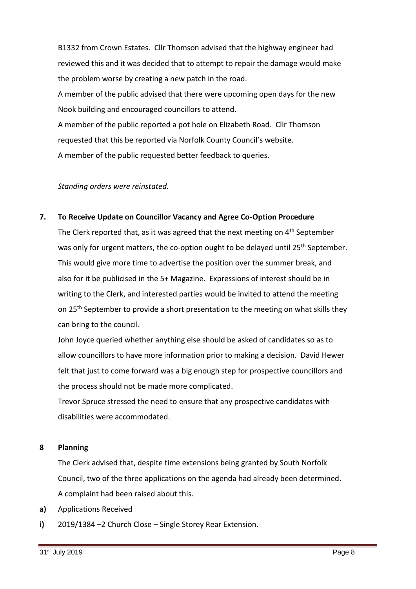B1332 from Crown Estates. Cllr Thomson advised that the highway engineer had reviewed this and it was decided that to attempt to repair the damage would make the problem worse by creating a new patch in the road.

A member of the public advised that there were upcoming open days for the new Nook building and encouraged councillors to attend.

A member of the public reported a pot hole on Elizabeth Road. Cllr Thomson requested that this be reported via Norfolk County Council's website. A member of the public requested better feedback to queries.

### *Standing orders were reinstated.*

#### **7. To Receive Update on Councillor Vacancy and Agree Co-Option Procedure**

The Clerk reported that, as it was agreed that the next meeting on 4<sup>th</sup> September was only for urgent matters, the co-option ought to be delayed until 25<sup>th</sup> September. This would give more time to advertise the position over the summer break, and also for it be publicised in the 5+ Magazine. Expressions of interest should be in writing to the Clerk, and interested parties would be invited to attend the meeting on 25<sup>th</sup> September to provide a short presentation to the meeting on what skills they can bring to the council.

John Joyce queried whether anything else should be asked of candidates so as to allow councillors to have more information prior to making a decision. David Hewer felt that just to come forward was a big enough step for prospective councillors and the process should not be made more complicated.

Trevor Spruce stressed the need to ensure that any prospective candidates with disabilities were accommodated.

#### **8 Planning**

The Clerk advised that, despite time extensions being granted by South Norfolk Council, two of the three applications on the agenda had already been determined. A complaint had been raised about this.

- **a)** Applications Received
- **i)** 2019/1384 –2 Church Close – Single Storey Rear Extension.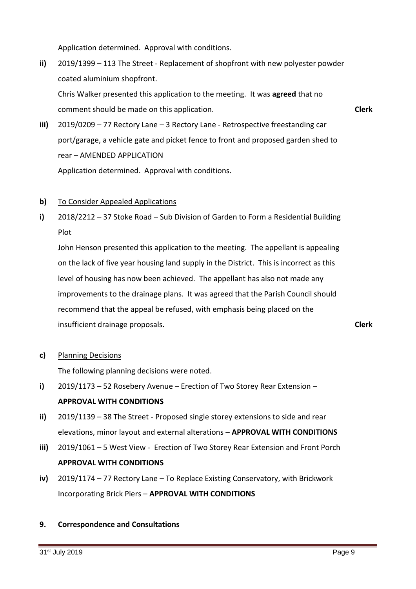Application determined. Approval with conditions.

**ii)** 2019/1399 – 113 The Street - Replacement of shopfront with new polyester powder coated aluminium shopfront.

Chris Walker presented this application to the meeting. It was **agreed** that no comment should be made on this application.

**Clerk**

- **iii)** 2019/0209 – 77 Rectory Lane – 3 Rectory Lane - Retrospective freestanding car port/garage, a vehicle gate and picket fence to front and proposed garden shed to rear – AMENDED APPLICATION Application determined. Approval with conditions.
- **b)**  To Consider Appealed Applications
- **i)** 2018/2212 – 37 Stoke Road – Sub Division of Garden to Form a Residential Building Plot

John Henson presented this application to the meeting. The appellant is appealing on the lack of five year housing land supply in the District. This is incorrect as this level of housing has now been achieved. The appellant has also not made any improvements to the drainage plans. It was agreed that the Parish Council should recommend that the appeal be refused, with emphasis being placed on the insufficient drainage proposals.

**Clerk**

**c)** Planning Decisions

The following planning decisions were noted.

- **i)** 2019/1173 – 52 Rosebery Avenue – Erection of Two Storey Rear Extension – **APPROVAL WITH CONDITIONS**
- **ii)** 2019/1139 – 38 The Street - Proposed single storey extensions to side and rear elevations, minor layout and external alterations – **APPROVAL WITH CONDITIONS**
- **iii)** 2019/1061 – 5 West View - Erection of Two Storey Rear Extension and Front Porch **APPROVAL WITH CONDITIONS**
- **iv)** 2019/1174 – 77 Rectory Lane – To Replace Existing Conservatory, with Brickwork Incorporating Brick Piers – **APPROVAL WITH CONDITIONS**

#### **9. Correspondence and Consultations**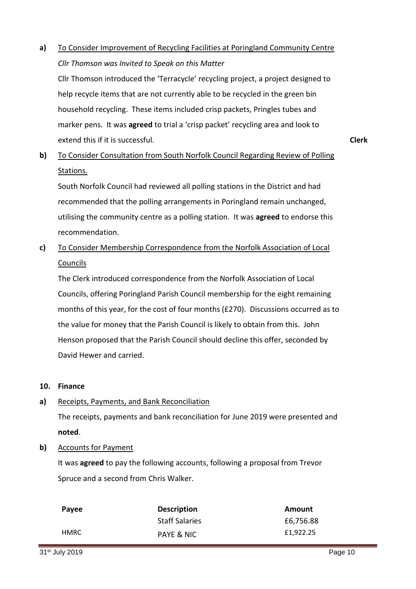**a)** To Consider Improvement of Recycling Facilities at Poringland Community Centre *Cllr Thomson was Invited to Speak on this Matter* 

Cllr Thomson introduced the 'Terracycle' recycling project, a project designed to help recycle items that are not currently able to be recycled in the green bin household recycling. These items included crisp packets, Pringles tubes and marker pens. It was **agreed** to trial a 'crisp packet' recycling area and look to extend this if it is successful.

**b)**  To Consider Consultation from South Norfolk Council Regarding Review of Polling Stations.

South Norfolk Council had reviewed all polling stations in the District and had recommended that the polling arrangements in Poringland remain unchanged, utilising the community centre as a polling station. It was **agreed** to endorse this recommendation.

**c)**  To Consider Membership Correspondence from the Norfolk Association of Local Councils

The Clerk introduced correspondence from the Norfolk Association of Local Councils, offering Poringland Parish Council membership for the eight remaining months of this year, for the cost of four months (£270). Discussions occurred as to the value for money that the Parish Council is likely to obtain from this. John Henson proposed that the Parish Council should decline this offer, seconded by David Hewer and carried.

#### **10. Finance**

**a)** Receipts, Payments, and Bank Reconciliation

> The receipts, payments and bank reconciliation for June 2019 were presented and **noted**.

#### **b)** Accounts for Payment

It was **agreed** to pay the following accounts, following a proposal from Trevor Spruce and a second from Chris Walker.

| Payee | <b>Description</b>    | Amount    |
|-------|-----------------------|-----------|
|       | <b>Staff Salaries</b> | £6,756.88 |
| HMRC  | PAYE & NIC            | £1,922.25 |

**Clerk**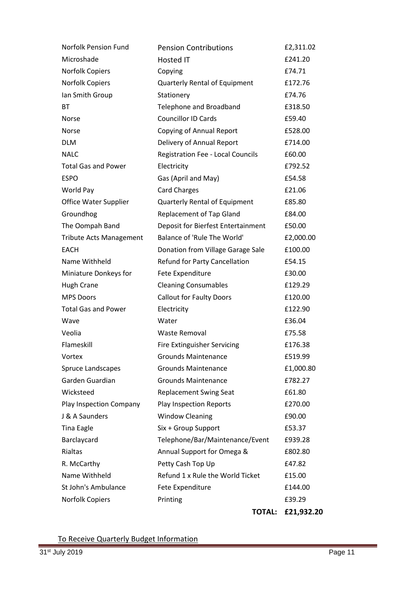| <b>Norfolk Pension Fund</b>    | <b>Pension Contributions</b>       | £2,311.02  |
|--------------------------------|------------------------------------|------------|
| Microshade                     | Hosted IT                          | £241.20    |
| Norfolk Copiers                | Copying                            | £74.71     |
| Norfolk Copiers                | Quarterly Rental of Equipment      | £172.76    |
| Ian Smith Group                | Stationery                         | £74.76     |
| BT.                            | Telephone and Broadband            | £318.50    |
| Norse                          | <b>Councillor ID Cards</b>         | £59.40     |
| <b>Norse</b>                   | <b>Copying of Annual Report</b>    | £528.00    |
| <b>DLM</b>                     | Delivery of Annual Report          | £714.00    |
| <b>NALC</b>                    | Registration Fee - Local Councils  | £60.00     |
| <b>Total Gas and Power</b>     | Electricity                        | £792.52    |
| <b>ESPO</b>                    | Gas (April and May)                | £54.58     |
| World Pay                      | <b>Card Charges</b>                | £21.06     |
| Office Water Supplier          | Quarterly Rental of Equipment      | £85.80     |
| Groundhog                      | <b>Replacement of Tap Gland</b>    | £84.00     |
| The Oompah Band                | Deposit for Bierfest Entertainment | £50.00     |
| <b>Tribute Acts Management</b> | Balance of 'Rule The World'        | £2,000.00  |
| <b>EACH</b>                    | Donation from Village Garage Sale  | £100.00    |
| Name Withheld                  | Refund for Party Cancellation      | £54.15     |
| Miniature Donkeys for          | Fete Expenditure                   | £30.00     |
| <b>Hugh Crane</b>              | <b>Cleaning Consumables</b>        | £129.29    |
| <b>MPS Doors</b>               | <b>Callout for Faulty Doors</b>    | £120.00    |
| <b>Total Gas and Power</b>     | Electricity                        | £122.90    |
| Wave                           | Water                              | £36.04     |
| Veolia                         | <b>Waste Removal</b>               | £75.58     |
| Flameskill                     | <b>Fire Extinguisher Servicing</b> | £176.38    |
| Vortex                         | <b>Grounds Maintenance</b>         | £519.99    |
| <b>Spruce Landscapes</b>       | <b>Grounds Maintenance</b>         | £1,000.80  |
| Garden Guardian                | <b>Grounds Maintenance</b>         | £782.27    |
| Wicksteed                      | <b>Replacement Swing Seat</b>      | £61.80     |
| Play Inspection Company        | Play Inspection Reports            | £270.00    |
| J & A Saunders                 | <b>Window Cleaning</b>             | £90.00     |
| <b>Tina Eagle</b>              | Six + Group Support                | £53.37     |
| Barclaycard                    | Telephone/Bar/Maintenance/Event    | £939.28    |
| Rialtas                        | Annual Support for Omega &         | £802.80    |
| R. McCarthy                    | Petty Cash Top Up                  | £47.82     |
| Name Withheld                  | Refund 1 x Rule the World Ticket   | £15.00     |
| St John's Ambulance            | Fete Expenditure                   | £144.00    |
| <b>Norfolk Copiers</b>         | Printing                           | £39.29     |
|                                | <b>TOTAL:</b>                      | £21,932.20 |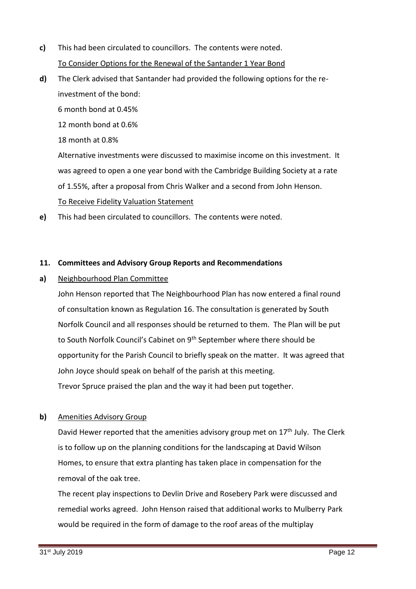- **c)**  This had been circulated to councillors. The contents were noted. To Consider Options for the Renewal of the Santander 1 Year Bond
- **d)** The Clerk advised that Santander had provided the following options for the reinvestment of the bond:

6 month bond at 0.45%

12 month bond at 0.6%

18 month at 0.8%

Alternative investments were discussed to maximise income on this investment. It was agreed to open a one year bond with the Cambridge Building Society at a rate of 1.55%, after a proposal from Chris Walker and a second from John Henson. To Receive Fidelity Valuation Statement

**e)** This had been circulated to councillors. The contents were noted.

# **11. Committees and Advisory Group Reports and Recommendations**

**a)** Neighbourhood Plan Committee

> John Henson reported that The Neighbourhood Plan has now entered a final round of consultation known as Regulation 16. The consultation is generated by South Norfolk Council and all responses should be returned to them. The Plan will be put to South Norfolk Council's Cabinet on 9<sup>th</sup> September where there should be opportunity for the Parish Council to briefly speak on the matter. It was agreed that John Joyce should speak on behalf of the parish at this meeting. Trevor Spruce praised the plan and the way it had been put together.

#### **b)**  Amenities Advisory Group

David Hewer reported that the amenities advisory group met on 17<sup>th</sup> July. The Clerk is to follow up on the planning conditions for the landscaping at David Wilson Homes, to ensure that extra planting has taken place in compensation for the removal of the oak tree.

The recent play inspections to Devlin Drive and Rosebery Park were discussed and remedial works agreed. John Henson raised that additional works to Mulberry Park would be required in the form of damage to the roof areas of the multiplay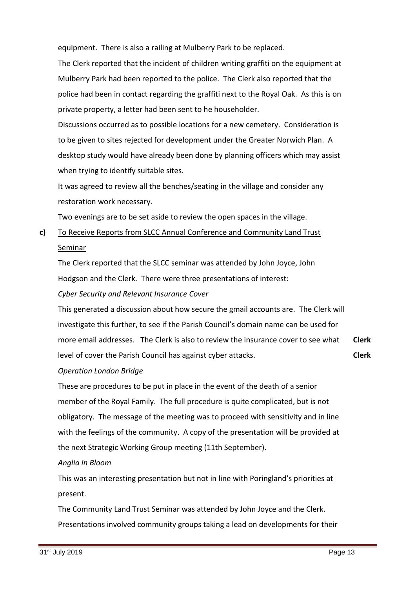equipment. There is also a railing at Mulberry Park to be replaced.

The Clerk reported that the incident of children writing graffiti on the equipment at Mulberry Park had been reported to the police. The Clerk also reported that the police had been in contact regarding the graffiti next to the Royal Oak. As this is on private property, a letter had been sent to he householder.

Discussions occurred as to possible locations for a new cemetery. Consideration is to be given to sites rejected for development under the Greater Norwich Plan. A desktop study would have already been done by planning officers which may assist when trying to identify suitable sites.

It was agreed to review all the benches/seating in the village and consider any restoration work necessary.

Two evenings are to be set aside to review the open spaces in the village.

**c)**  To Receive Reports from SLCC Annual Conference and Community Land Trust **Seminar** 

The Clerk reported that the SLCC seminar was attended by John Joyce, John Hodgson and the Clerk. There were three presentations of interest:

# *Cyber Security and Relevant Insurance Cover*

This generated a discussion about how secure the gmail accounts are. The Clerk will investigate this further, to see if the Parish Council's domain name can be used for more email addresses. The Clerk is also to review the insurance cover to see what level of cover the Parish Council has against cyber attacks. **Clerk Clerk**

# *Operation London Bridge*

These are procedures to be put in place in the event of the death of a senior member of the Royal Family. The full procedure is quite complicated, but is not obligatory. The message of the meeting was to proceed with sensitivity and in line with the feelings of the community. A copy of the presentation will be provided at the next Strategic Working Group meeting (11th September).

# *Anglia in Bloom*

This was an interesting presentation but not in line with Poringland's priorities at present.

The Community Land Trust Seminar was attended by John Joyce and the Clerk. Presentations involved community groups taking a lead on developments for their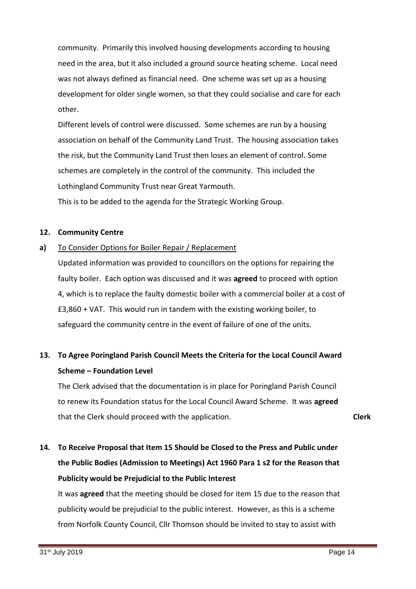community. Primarily this involved housing developments according to housing need in the area, but it also included a ground source heating scheme. Local need was not always defined as financial need. One scheme was set up as a housing development for older single women, so that they could socialise and care for each other.

Different levels of control were discussed. Some schemes are run by a housing association on behalf of the Community Land Trust. The housing association takes the risk, but the Community Land Trust then loses an element of control. Some schemes are completely in the control of the community. This included the Lothingland Community Trust near Great Yarmouth.

This is to be added to the agenda for the Strategic Working Group.

# **12. Community Centre**

#### **a)** To Consider Options for Boiler Repair / Replacement

Updated information was provided to councillors on the options for repairing the faulty boiler. Each option was discussed and it was **agreed** to proceed with option 4, which is to replace the faulty domestic boiler with a commercial boiler at a cost of £3,860 + VAT. This would run in tandem with the existing working boiler, to safeguard the community centre in the event of failure of one of the units.

# **13. To Agree Poringland Parish Council Meets the Criteria for the Local Council Award Scheme – Foundation Level**

The Clerk advised that the documentation is in place for Poringland Parish Council to renew its Foundation status for the Local Council Award Scheme. It was **agreed** that the Clerk should proceed with the application.

**Clerk**

# **14. To Receive Proposal that Item 15 Should be Closed to the Press and Public under the Public Bodies (Admission to Meetings) Act 1960 Para 1 s2 for the Reason that Publicity would be Prejudicial to the Public Interest**

It was **agreed** that the meeting should be closed for item 15 due to the reason that publicity would be prejudicial to the public interest. However, as this is a scheme from Norfolk County Council, Cllr Thomson should be invited to stay to assist with